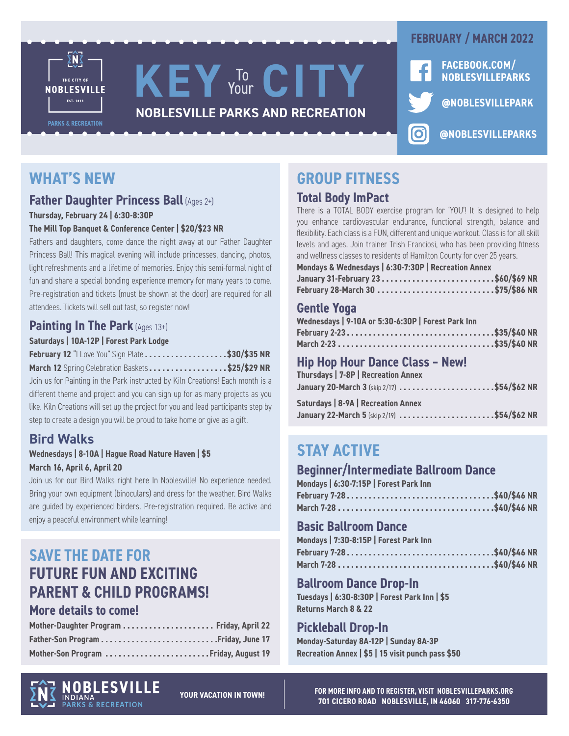

## **WHAT'S NEW**

## **Father Daughter Princess Ball (Ages 2+)**

**Thursday, February 24 | 6:30-8:30P**

#### **The Mill Top Banquet & Conference Center | \$20/\$23 NR**

Fathers and daughters, come dance the night away at our Father Daughter Princess Ball! This magical evening will include princesses, dancing, photos, light refreshments and a lifetime of memories. Enjoy this semi-formal night of fun and share a special bonding experience memory for many years to come. Pre-registration and tickets (must be shown at the door) are required for all attendees. Tickets will sell out fast, so register now!

## **Painting In The Park** (Ages 13+)

#### **Saturdays | 10A-12P | Forest Park Lodge**

| <b>February 12</b> "I Love You" Sign Plate \$30/\$35 NR |  |  |  |  |  |  |  |  |
|---------------------------------------------------------|--|--|--|--|--|--|--|--|
|---------------------------------------------------------|--|--|--|--|--|--|--|--|

**March 12** Spring Celebration Baskets **. . . . . . . . . . . . . . . . . \$25/\$29 NR**

Join us for Painting in the Park instructed by Kiln Creations! Each month is a different theme and project and you can sign up for as many projects as you like. Kiln Creations will set up the project for you and lead participants step by step to create a design you will be proud to take home or give as a gift.

### **Bird Walks**

#### **Wednesdays | 8-10A | Hague Road Nature Haven | \$5 March 16, April 6, April 20**

Join us for our Bird Walks right here In Noblesville! No experience needed. Bring your own equipment (binoculars) and dress for the weather. Bird Walks are guided by experienced birders. Pre-registration required. Be active and enjoy a peaceful environment while learning!

## **SAVE THE DATE FOR FUTURE FUN AND EXCITING PARENT & CHILD PROGRAMS!**

#### **More details to come!**

| Mother-Daughter Program  Friday, April 22 |  |
|-------------------------------------------|--|
|                                           |  |
| Mother-Son Program Friday, August 19      |  |

## **GROUP FITNESS**

#### **Total Body ImPact**

There is a TOTAL BODY exercise program for 'YOU'! It is designed to help you enhance cardiovascular endurance, functional strength, balance and flexibility. Each class is a FUN, different and unique workout. Class is for all skill levels and ages. Join trainer Trish Franciosi, who has been providing fitness and wellness classes to residents of Hamilton County for over 25 years.

| Mondays & Wednesdays   6:30-7:30P   Recreation Annex |  |  |
|------------------------------------------------------|--|--|
|                                                      |  |  |
| February 28-March 30 \$75/\$86 NR                    |  |  |

### **Gentle Yoga**

| Wednesdays   9-10A or 5:30-6:30P   Forest Park Inn |  |                           |  |
|----------------------------------------------------|--|---------------------------|--|
|                                                    |  | February 2-23\$35/\$40 NR |  |
|                                                    |  |                           |  |

## **Hip Hop Hour Dance Class – New!**

| Thursdays   7-8P   Recreation Annex |  |  |                                             |
|-------------------------------------|--|--|---------------------------------------------|
|                                     |  |  | January 20-March 3 (skip 2/17) \$54/\$62 NR |
|                                     |  |  |                                             |

**Saturdays | 8-9A | Recreation Annex January 22-March 5** (skip 2/19) **. . . . . . . . . . . . . . . . . . . . . \$54/\$62 NR**

# **STAY ACTIVE**

#### **Beginner/Intermediate Ballroom Dance**

| Mondays   6:30-7:15P   Forest Park Inn |
|----------------------------------------|
| February 7-28\$40/\$46 NR              |
|                                        |

### **Basic Ballroom Dance**

|  | Mondays   7:30-8:15P   Forest Park Inn |  |
|--|----------------------------------------|--|
|  | February 7-28\$40/\$46 NR              |  |
|  |                                        |  |

#### **Ballroom Dance Drop-In**

**Tuesdays | 6:30-8:30P | Forest Park Inn | \$5 Returns March 8 & 22**

#### **Pickleball Drop-In**

**Monday-Saturday 8A-12P | Sunday 8A-3P Recreation Annex | \$5 | 15 visit punch pass \$50**

OBLESVILLE RECREATION

**YOUR VACATION IN TOWN!**

**FOR MORE INFO AND TO REGISTER, VISIT NOBLESVILLEPARKS.ORG 701 CICERO ROAD NOBLESVILLE, IN 46060 317-776-6350**